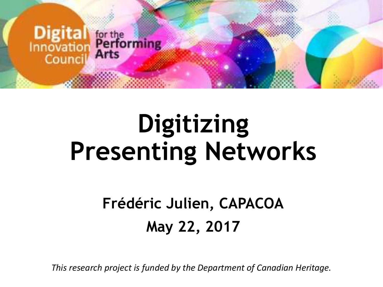

# **Digitizing Presenting Networks**

#### **Frédéric Julien, CAPACOA May 22, 2017**

*This research project is funded by the Department of Canadian Heritage.*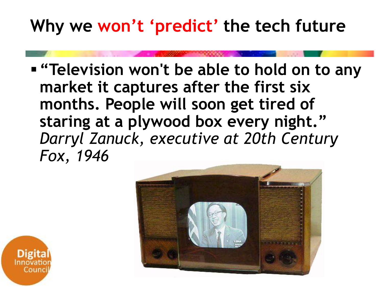#### **Why we won't 'predict' the tech future**

**"Television won't be able to hold on to any market it captures after the first six months. People will soon get tired of staring at a plywood box every night."**  *Darryl Zanuck, executive at 20th Century Fox, 1946*



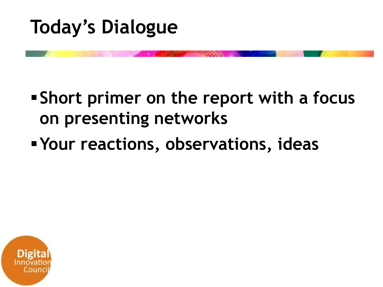

#### **Short primer on the report with a focus on presenting networks**

#### **Your reactions, observations, ideas**

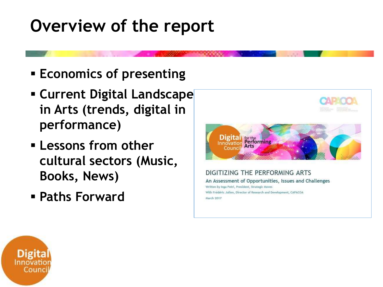#### **Overview of the report**

- **Economics of presenting**
- **Example 2 Current Digital Landscape in Arts (trends, digital in performance)**
- **Lessons from other cultural sectors (Music, Books, News)**
- **Paths Forward**



With Frédéric Julien, Director of Research and Development, CAPACOA March 2017

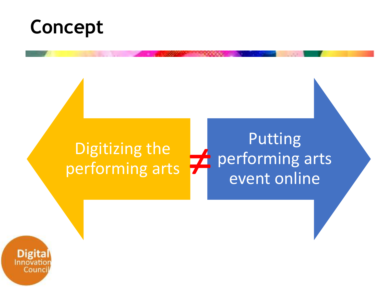### **Concept**

#### Digitizing the performing arts Putting performing arts<br>
≠ performing arts<br>
event online

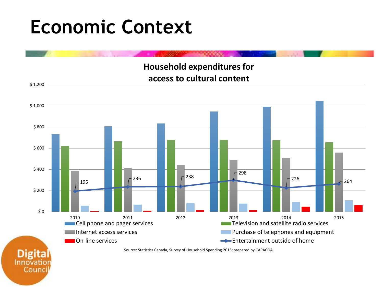### **Economic Context**

Counc

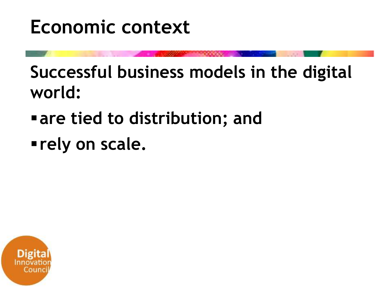### **Economic context**

**Successful business models in the digital world:**

- **are tied to distribution; and**
- **rely on scale.**

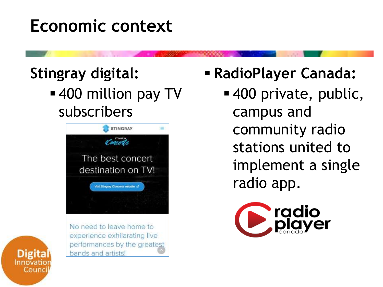#### **Economic context**

#### **Stingray digital:**

■ 400 million pay TV subscribers



No need to leave home to experience exhilarating live performances by the greatest bands and artists!

#### **RadioPlayer Canada:**

 400 private, public, campus and community radio stations united to implement a single radio app.



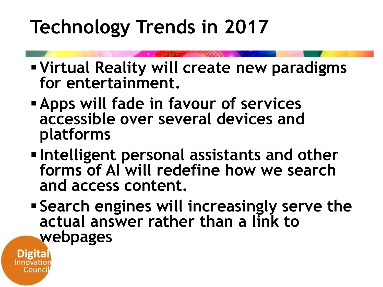## **Technology Trends in 2017**

- **Virtual Reality will create new paradigms for entertainment.**
- **Apps will fade in favour of services accessible over several devices and platforms**
- **Intelligent personal assistants and other forms of AI will redefine how we search and access content.**
- **Search engines will increasingly serve the actual answer rather than a link to webpages**

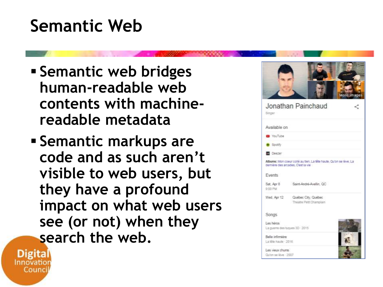#### **Semantic Web**

- **Semantic web bridges human-readable web contents with machinereadable metadata**
- **Semantic markups are code and as such aren't visible to web users, but they have a profound impact on what web users see (or not) when they search the web.**





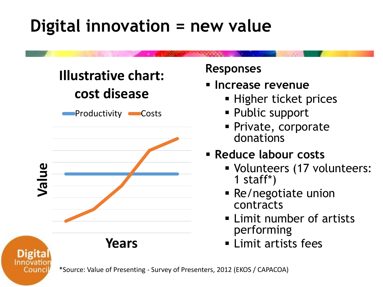#### **Digital innovation = new value**



Counci

#### **Responses**

- **Increase revenue**
	- **Higher ticket prices**
	- Public support
	- **Private, corporate** donations

#### **Reduce labour costs**

- Volunteers (17 volunteers: 1 staff\*)
- Re/negotiate union contracts
- **Example 1** Limit number of artists performing
- **Elimit artists fees**

\*Source: Value of Presenting - Survey of Presenters, 2012 (EKOS / CAPACOA)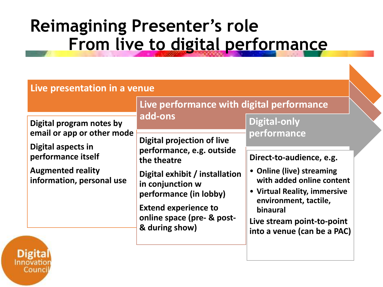#### **Reimagining Presenter's role From live to digital performance**

|                                                                              | Live performance with digital performance                                                                                                                                                               |                                                                                                                                                                                                                      |
|------------------------------------------------------------------------------|---------------------------------------------------------------------------------------------------------------------------------------------------------------------------------------------------------|----------------------------------------------------------------------------------------------------------------------------------------------------------------------------------------------------------------------|
| Digital program notes by<br>email or app or other mode<br>Digital aspects in | add-ons<br><b>Digital projection of live</b>                                                                                                                                                            | <b>Digital-only</b><br>performance                                                                                                                                                                                   |
| performance itself<br><b>Augmented reality</b><br>information, personal use  | performance, e.g. outside<br>the theatre<br>Digital exhibit / installation<br>in conjunction w<br>performance (in lobby)<br><b>Extend experience to</b><br>online space (pre- & post-<br>& during show) | Direct-to-audience, e.g.<br>• Online (live) streaming<br>with added online content<br>• Virtual Reality, immersive<br>environment, tactile,<br>binaural<br>Live stream point-to-point<br>into a venue (can be a PAC) |

Counc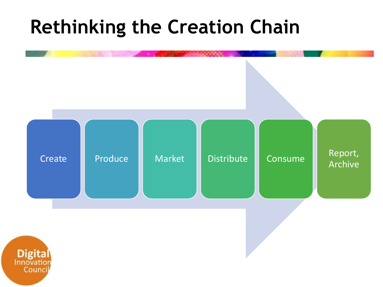### **Rethinking the Creation Chain**

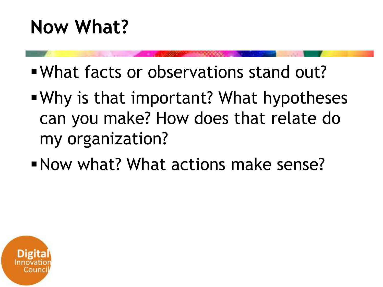- What facts or observations stand out?
- Why is that important? What hypotheses can you make? How does that relate do my organization?
- Now what? What actions make sense?